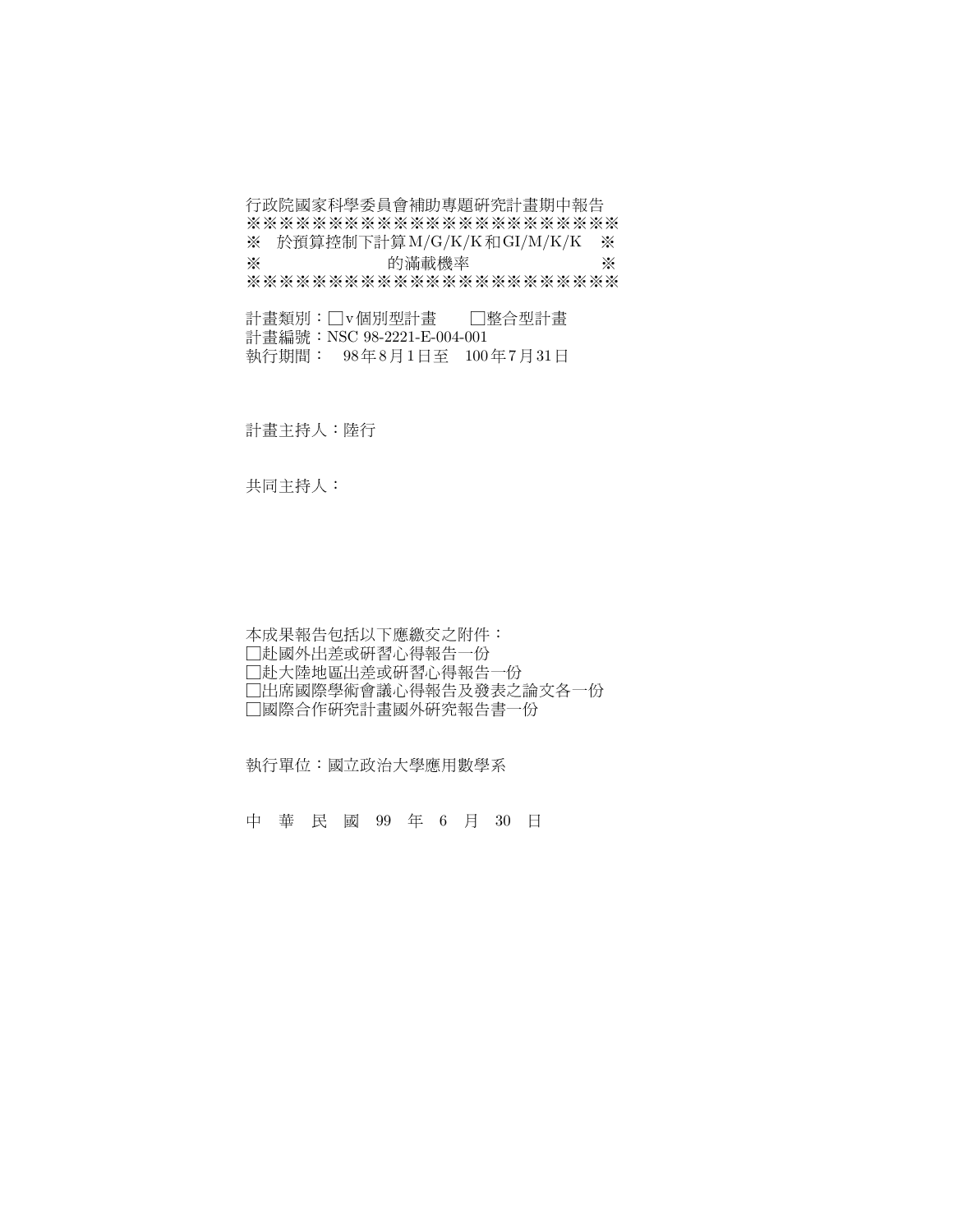行政院國家科學委員會補助專題研究計畫期中報告 \*\*\*\*\*\*\*\*\*\*\*\*\*\*\*\*\*\*\*\*\*\*\* ※ 於預算控制下計算M/G/K/K和GI/M/K/K ※ ※ 的滿載機率 ※ \*\*\*\*\*\*\*\*\*\*\*\*\*\*\*\*\*\*\*\*\*\*\*

\$%&'v(%)'\*+) 計書編號: NSC 98-2221-E-004-001 執行期間: 98年8月1日至 100年7月31日

計畫主持人:陸行

共同主持人:

本成果報告包括以下應繳交之附件: □赴國外出差或研習心得報告一份 口赴大陸地區出差或研習心得報告一份 □出席國際學術會議心得報告及發表之論文各一份 □國際合作研究計畫國外研究報告書一份

執行單位:國立政治大學應用數學系

中 華 民 國 99 年 6 月 30 日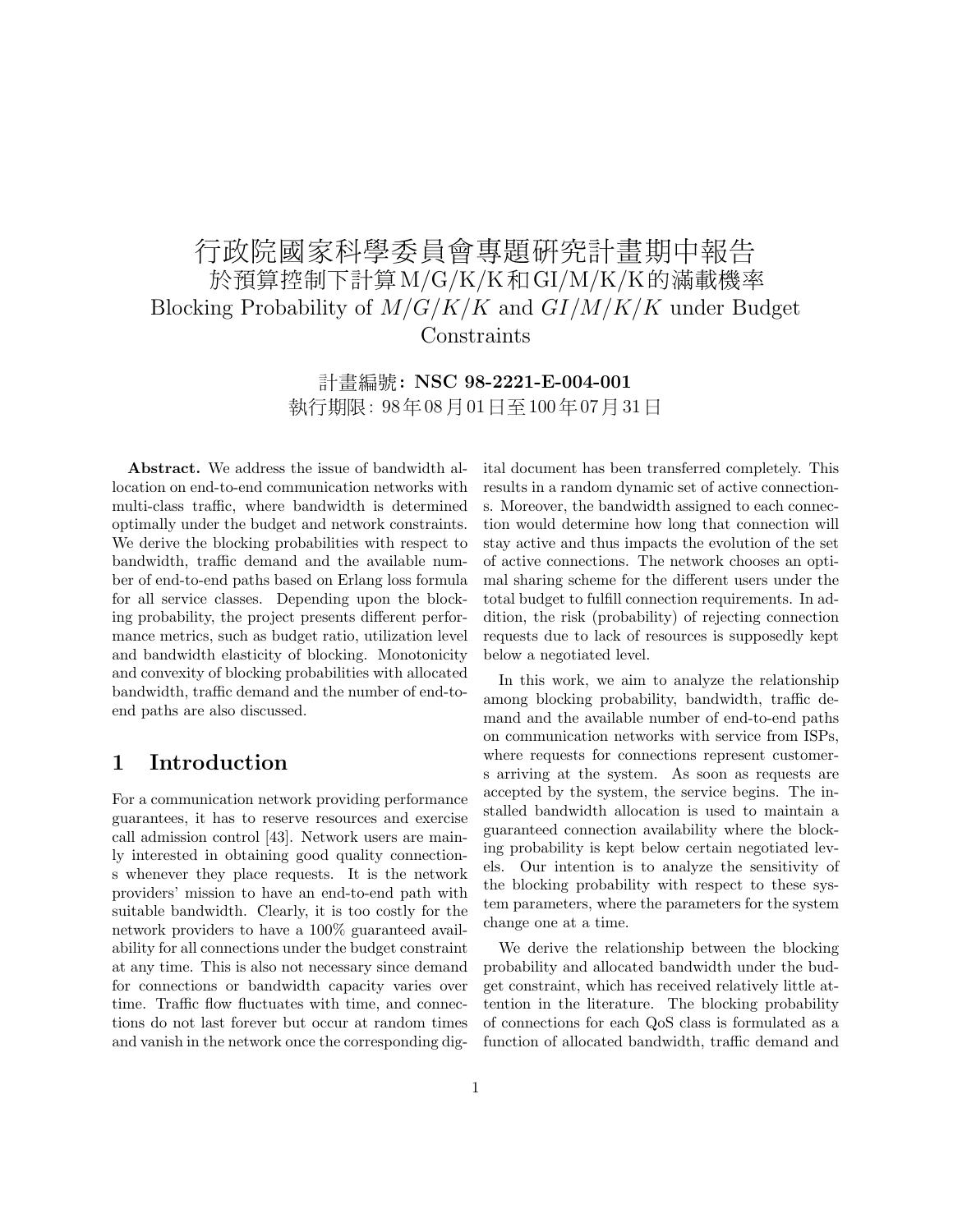# 行政院國家科學委員會專題研究計畫期中報告 於預算控制下計算M/G/K/K和GI/M/K/K的滿載機率 Blocking Probability of  $M/G/K/K$  and  $GI/M/K/K$  under Budget Constraints

計畫編號: NSC 98-2221-E-004-001 執行期限: 98年08月01日至100年07月31日

Abstract. We address the issue of bandwidth allocation on end-to-end communication networks with multi-class traffic, where bandwidth is determined optimally under the budget and network constraints. We derive the blocking probabilities with respect to bandwidth, traffic demand and the available number of end-to-end paths based on Erlang loss formula for all service classes. Depending upon the blocking probability, the project presents different performance metrics, such as budget ratio, utilization level and bandwidth elasticity of blocking. Monotonicity and convexity of blocking probabilities with allocated bandwidth, traffic demand and the number of end-toend paths are also discussed.

### 1 Introduction

For a communication network providing performance guarantees, it has to reserve resources and exercise call admission control [43]. Network users are mainly interested in obtaining good quality connections whenever they place requests. It is the network providers' mission to have an end-to-end path with suitable bandwidth. Clearly, it is too costly for the network providers to have a 100% guaranteed availability for all connections under the budget constraint at any time. This is also not necessary since demand for connections or bandwidth capacity varies over time. Traffic flow fluctuates with time, and connections do not last forever but occur at random times and vanish in the network once the corresponding digital document has been transferred completely. This results in a random dynamic set of active connections. Moreover, the bandwidth assigned to each connection would determine how long that connection will stay active and thus impacts the evolution of the set of active connections. The network chooses an optimal sharing scheme for the different users under the total budget to fulfill connection requirements. In addition, the risk (probability) of rejecting connection requests due to lack of resources is supposedly kept below a negotiated level.

In this work, we aim to analyze the relationship among blocking probability, bandwidth, traffic demand and the available number of end-to-end paths on communication networks with service from ISPs, where requests for connections represent customers arriving at the system. As soon as requests are accepted by the system, the service begins. The installed bandwidth allocation is used to maintain a guaranteed connection availability where the blocking probability is kept below certain negotiated levels. Our intention is to analyze the sensitivity of the blocking probability with respect to these system parameters, where the parameters for the system change one at a time.

We derive the relationship between the blocking probability and allocated bandwidth under the budget constraint, which has received relatively little attention in the literature. The blocking probability of connections for each QoS class is formulated as a function of allocated bandwidth, traffic demand and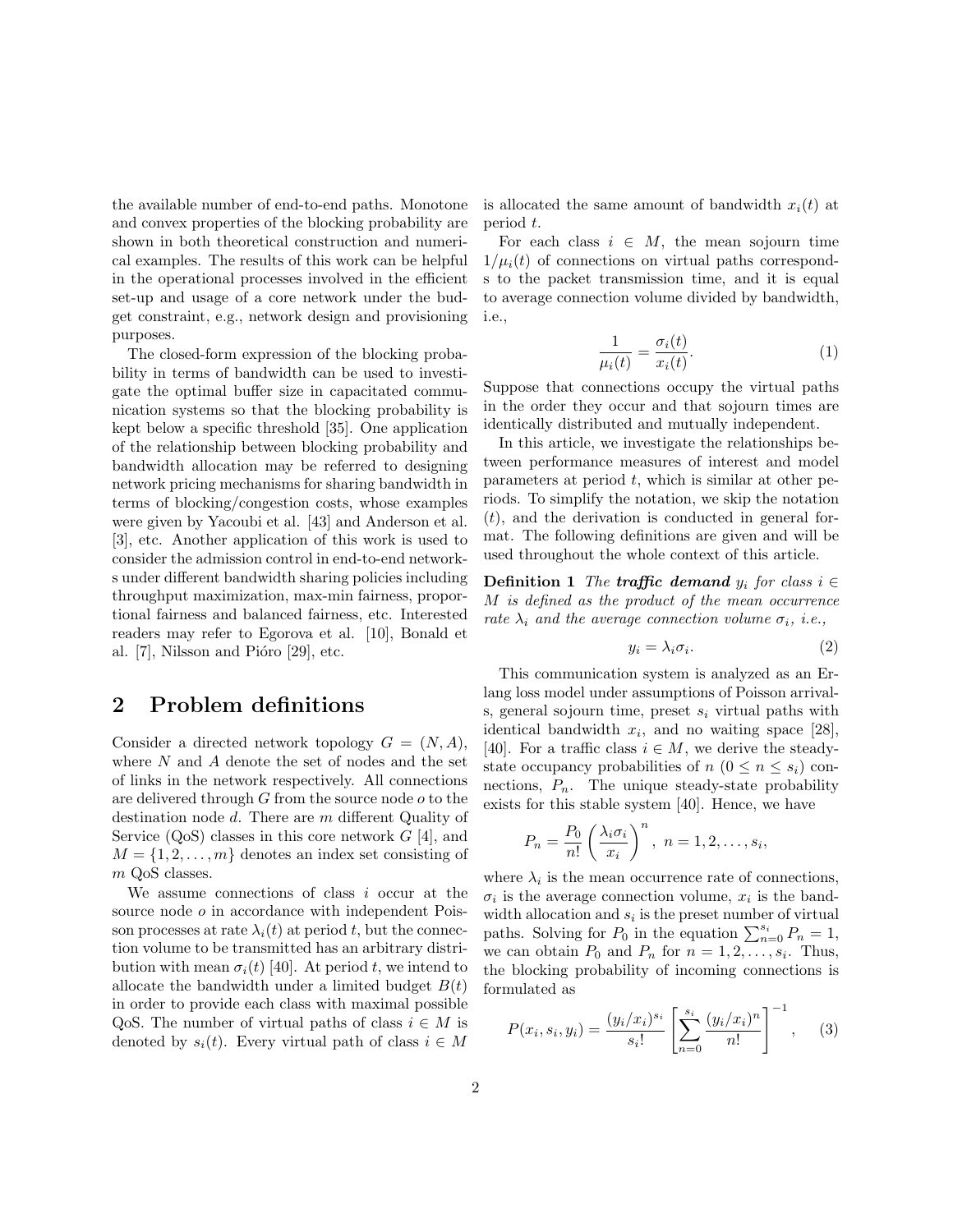the available number of end-to-end paths. Monotone and convex properties of the blocking probability are shown in both theoretical construction and numerical examples. The results of this work can be helpful in the operational processes involved in the efficient set-up and usage of a core network under the budget constraint, e.g., network design and provisioning purposes.

The closed-form expression of the blocking probability in terms of bandwidth can be used to investigate the optimal buffer size in capacitated communication systems so that the blocking probability is kept below a specific threshold [35]. One application of the relationship between blocking probability and bandwidth allocation may be referred to designing network pricing mechanisms for sharing bandwidth in terms of blocking/congestion costs, whose examples were given by Yacoubi et al. [43] and Anderson et al. [3], etc. Another application of this work is used to consider the admission control in end-to-end networks under different bandwidth sharing policies including throughput maximization, max-min fairness, proportional fairness and balanced fairness, etc. Interested readers may refer to Egorova et al. [10], Bonald et al.  $[7]$ , Nilsson and Pióro  $[29]$ , etc.

#### 2 Problem definitions

Consider a directed network topology  $G = (N, A)$ , where  $N$  and  $A$  denote the set of nodes and the set of links in the network respectively. All connections are delivered through G from the source node o to the destination node d. There are m different Quality of Service  $(QoS)$  classes in this core network  $G$  [4], and  $M = \{1, 2, \ldots, m\}$  denotes an index set consisting of m QoS classes.

We assume connections of class  $i$  occur at the source node  $\sigma$  in accordance with independent Poisson processes at rate  $\lambda_i(t)$  at period t, but the connection volume to be transmitted has an arbitrary distribution with mean  $\sigma_i(t)$  [40]. At period t, we intend to allocate the bandwidth under a limited budget  $B(t)$ in order to provide each class with maximal possible QoS. The number of virtual paths of class  $i \in M$  is denoted by  $s_i(t)$ . Every virtual path of class  $i \in M$ 

is allocated the same amount of bandwidth  $x_i(t)$  at period t.

For each class  $i \in M$ , the mean sojourn time  $1/\mu_i(t)$  of connections on virtual paths corresponds to the packet transmission time, and it is equal to average connection volume divided by bandwidth, i.e.,

$$
\frac{1}{\mu_i(t)} = \frac{\sigma_i(t)}{x_i(t)}.\tag{1}
$$

Suppose that connections occupy the virtual paths in the order they occur and that sojourn times are identically distributed and mutually independent.

In this article, we investigate the relationships between performance measures of interest and model parameters at period  $t$ , which is similar at other periods. To simplify the notation, we skip the notation  $(t)$ , and the derivation is conducted in general format. The following definitions are given and will be used throughout the whole context of this article.

**Definition 1** The **traffic demand**  $y_i$  for class  $i \in$ M is defined as the product of the mean occurrence rate  $\lambda_i$  and the average connection volume  $\sigma_i$ , i.e.,

$$
y_i = \lambda_i \sigma_i. \tag{2}
$$

This communication system is analyzed as an Erlang loss model under assumptions of Poisson arrivals, general sojourn time, preset  $s_i$  virtual paths with identical bandwidth  $x_i$ , and no waiting space [28], [40]. For a traffic class  $i \in M$ , we derive the steadystate occupancy probabilities of  $n (0 \leq n \leq s_i)$  connections,  $P_n$ . The unique steady-state probability exists for this stable system [40]. Hence, we have

$$
P_n = \frac{P_0}{n!} \left(\frac{\lambda_i \sigma_i}{x_i}\right)^n, \ n = 1, 2, \dots, s_i,
$$

where  $\lambda_i$  is the mean occurrence rate of connections,  $\sigma_i$  is the average connection volume,  $x_i$  is the bandwidth allocation and  $s_i$  is the preset number of virtual width anocation and  $s_i$  is the preset number of virtual paths. Solving for  $P_0$  in the equation  $\sum_{n=0}^{s_i} P_n = 1$ , we can obtain  $P_0$  and  $P_n$  for  $n = 1, 2, \ldots, s_i$ . Thus, the blocking probability of incoming connections is formulated as

$$
P(x_i, s_i, y_i) = \frac{(y_i/x_i)^{s_i}}{s_i!} \left[ \sum_{n=0}^{s_i} \frac{(y_i/x_i)^n}{n!} \right]^{-1}, \quad (3)
$$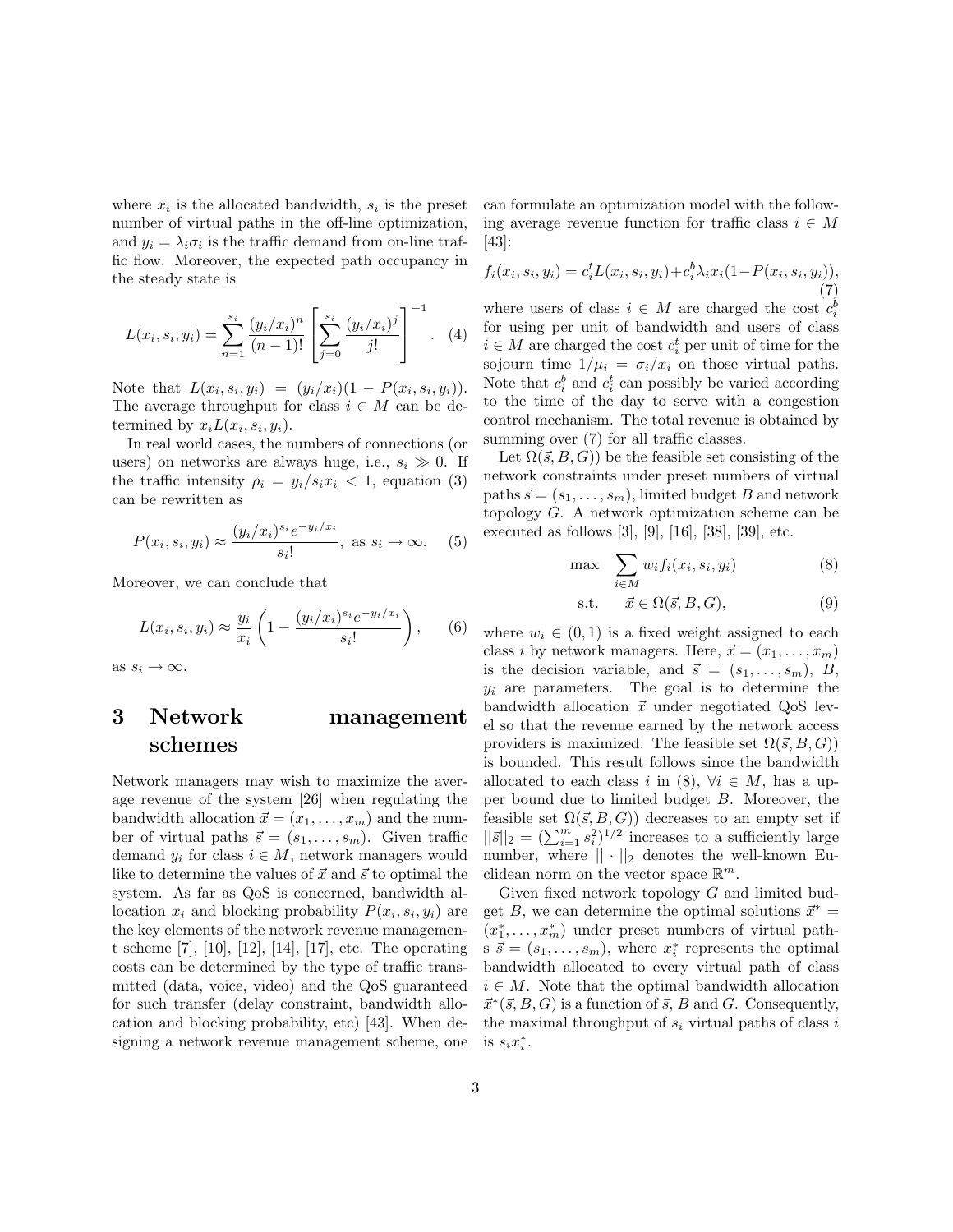where  $x_i$  is the allocated bandwidth,  $s_i$  is the preset number of virtual paths in the off-line optimization, and  $y_i = \lambda_i \sigma_i$  is the traffic demand from on-line traffic flow. Moreover, the expected path occupancy in the steady state is

$$
L(x_i, s_i, y_i) = \sum_{n=1}^{s_i} \frac{(y_i/x_i)^n}{(n-1)!} \left[ \sum_{j=0}^{s_i} \frac{(y_i/x_i)^j}{j!} \right]^{-1}.
$$
 (4)

Note that  $L(x_i, s_i, y_i) = (y_i/x_i)(1 - P(x_i, s_i, y_i)).$ The average throughput for class  $i \in M$  can be determined by  $x_i L(x_i, s_i, y_i)$ .

In real world cases, the numbers of connections (or users) on networks are always huge, i.e.,  $s_i \gg 0$ . If the traffic intensity  $\rho_i = y_i/s_i x_i < 1$ , equation (3) can be rewritten as

$$
P(x_i, s_i, y_i) \approx \frac{(y_i/x_i)^{s_i} e^{-y_i/x_i}}{s_i!}, \text{ as } s_i \to \infty.
$$
 (5)

Moreover, we can conclude that

$$
L(x_i, s_i, y_i) \approx \frac{y_i}{x_i} \left( 1 - \frac{(y_i/x_i)^{s_i} e^{-y_i/x_i}}{s_i!} \right),
$$
 (6)

as  $s_i \to \infty$ .

### 3 Network management schemes

Network managers may wish to maximize the average revenue of the system [26] when regulating the bandwidth allocation  $\vec{x} = (x_1, \ldots, x_m)$  and the number of virtual paths  $\vec{s} = (s_1, \ldots, s_m)$ . Given traffic demand  $y_i$  for class  $i \in M$ , network managers would like to determine the values of  $\vec{x}$  and  $\vec{s}$  to optimal the system. As far as QoS is concerned, bandwidth allocation  $x_i$  and blocking probability  $P(x_i, s_i, y_i)$  are the key elements of the network revenue management scheme [7], [10], [12], [14], [17], etc. The operating costs can be determined by the type of traffic transmitted (data, voice, video) and the QoS guaranteed for such transfer (delay constraint, bandwidth allocation and blocking probability, etc) [43]. When designing a network revenue management scheme, one can formulate an optimization model with the following average revenue function for traffic class  $i \in M$ [43]:

$$
f_i(x_i, s_i, y_i) = c_i^t L(x_i, s_i, y_i) + c_i^b \lambda_i x_i (1 - P(x_i, s_i, y_i)),
$$
\n(7)

where users of class  $i \in M$  are charged the cost  $c_i^b$ for using per unit of bandwidth and users of class  $i \in M$  are charged the cost  $c_i^t$  per unit of time for the sojourn time  $1/\mu_i = \sigma_i/x_i$  on those virtual paths. Note that  $c_i^b$  and  $c_i^t$  can possibly be varied according to the time of the day to serve with a congestion control mechanism. The total revenue is obtained by summing over  $(7)$  for all traffic classes.

Let  $\Omega(\vec{s}, B, G)$ ) be the feasible set consisting of the network constraints under preset numbers of virtual paths  $\vec{s} = (s_1, \ldots, s_m)$ , limited budget B and network topology G. A network optimization scheme can be executed as follows [3], [9], [16], [38], [39], etc.

$$
\max \sum_{i \in M} w_i f_i(x_i, s_i, y_i) \tag{8}
$$

$$
\text{s.t.} \qquad \vec{x} \in \Omega(\vec{s}, B, G), \tag{9}
$$

where  $w_i \in (0, 1)$  is a fixed weight assigned to each class i by network managers. Here,  $\vec{x} = (x_1, \ldots, x_m)$ is the decision variable, and  $\vec{s} = (s_1, \ldots, s_m), B$ ,  $y_i$  are parameters. The goal is to determine the bandwidth allocation  $\vec{x}$  under negotiated QoS level so that the revenue earned by the network access providers is maximized. The feasible set  $\Omega(\vec{s}, B, G)$ ) is bounded. This result follows since the bandwidth allocated to each class i in  $(8)$ ,  $\forall i \in M$ , has a upper bound due to limited budget B. Moreover, the feasible set  $\Omega(\vec{s}, B, G)$  decreases to an empty set if reasible set  $\Omega(s, B, G)$  decreases to an empty set in  $||\vec{s}||_2 = (\sum_{i=1}^m s_i^2)^{1/2}$  increases to a sufficiently large number, where  $|| \cdot ||_2$  denotes the well-known Euclidean norm on the vector space  $\mathbb{R}^m$ .

Given fixed network topology G and limited budget B, we can determine the optimal solutions  $\vec{x}^* =$  $(x_1^*, \ldots, x_m^*)$  under preset numbers of virtual path $s \, \vec{s} = (s_1, \ldots, s_m)$ , where  $x_i^*$  represents the optimal bandwidth allocated to every virtual path of class  $i \in M$ . Note that the optimal bandwidth allocation  $\vec{x}^*(\vec{s}, B, G)$  is a function of  $\vec{s}$ , B and G. Consequently, the maximal throughput of  $s_i$  virtual paths of class i is  $s_i x_i^*$ .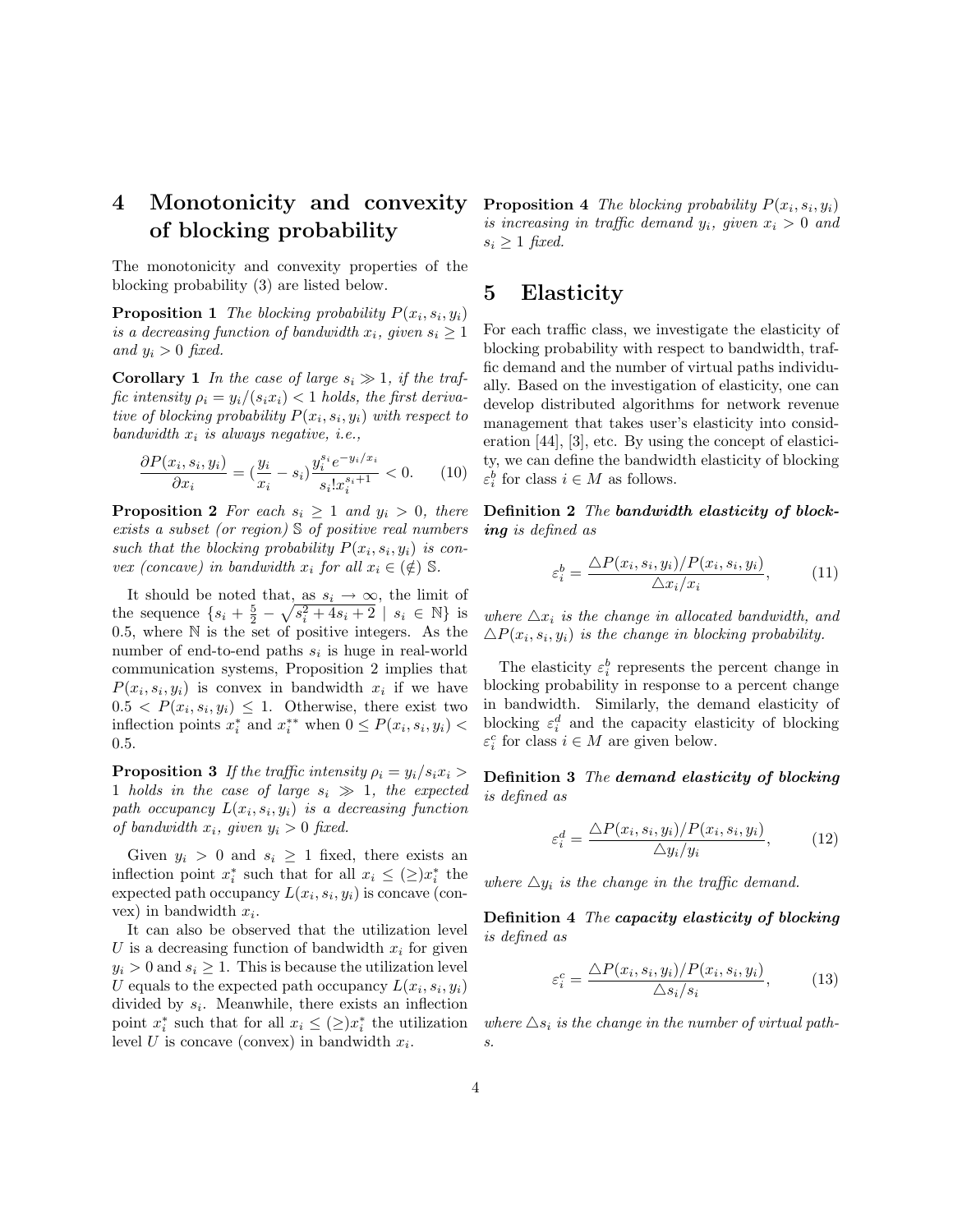## 4 Monotonicity and convexity of blocking probability

The monotonicity and convexity properties of the blocking probability (3) are listed below.

**Proposition 1** The blocking probability  $P(x_i, s_i, y_i)$ is a decreasing function of bandwidth  $x_i$ , given  $s_i \geq 1$ and  $y_i > 0$  fixed.

**Corollary 1** In the case of large  $s_i \gg 1$ , if the traffic intensity  $\rho_i = y_i/(s_i x_i) < 1$  holds, the first derivative of blocking probability  $P(x_i, s_i, y_i)$  with respect to bandwidth  $x_i$  is always negative, i.e.,

$$
\frac{\partial P(x_i, s_i, y_i)}{\partial x_i} = \left(\frac{y_i}{x_i} - s_i\right) \frac{y_i^{s_i} e^{-y_i/x_i}}{s_i! x_i^{s_i+1}} < 0. \tag{10}
$$

**Proposition 2** For each  $s_i \geq 1$  and  $y_i > 0$ , there exists a subset (or region) S of positive real numbers such that the blocking probability  $P(x_i, s_i, y_i)$  is convex (concave) in bandwidth  $x_i$  for all  $x_i \in (\notin) \mathbb{S}$ .

It should be noted that, as  $s_i \to \infty$ , the limit of the sequence  $\{s_i + \frac{5}{2} - \sqrt{s_i^2 + 4s_i + 2} \mid s_i \in \mathbb{N}\}\)$  is 0.5, where  $N$  is the set of positive integers. As the number of end-to-end paths  $s_i$  is huge in real-world communication systems, Proposition 2 implies that  $P(x_i, s_i, y_i)$  is convex in bandwidth  $x_i$  if we have  $0.5 < P(x_i, s_i, y_i) \leq 1$ . Otherwise, there exist two inflection points  $x_i^*$  and  $x_i^{**}$  when  $0 \le P(x_i, s_i, y_i)$ 0.5.

**Proposition 3** If the traffic intensity  $\rho_i = y_i/s_i x_i >$ 1 holds in the case of large  $s_i \gg 1$ , the expected path occupancy  $L(x_i, s_i, y_i)$  is a decreasing function of bandwidth  $x_i$ , given  $y_i > 0$  fixed.

Given  $y_i > 0$  and  $s_i \geq 1$  fixed, there exists an inflection point  $x_i^*$  such that for all  $x_i \leq (\geq) x_i^*$  the expected path occupancy  $L(x_i, s_i, y_i)$  is concave (convex) in bandwidth  $x_i$ .

It can also be observed that the utilization level U is a decreasing function of bandwidth  $x_i$  for given  $y_i > 0$  and  $s_i \geq 1$ . This is because the utilization level U equals to the expected path occupancy  $L(x_i, s_i, y_i)$ divided by  $s_i$ . Meanwhile, there exists an inflection point  $x_i^*$  such that for all  $x_i \leq (\geq) x_i^*$  the utilization level U is concave (convex) in bandwidth  $x_i$ .

**Proposition 4** The blocking probability  $P(x_i, s_i, y_i)$ is increasing in traffic demand  $y_i$ , given  $x_i > 0$  and  $s_i \geq 1$  fixed.

### 5 Elasticity

For each traffic class, we investigate the elasticity of blocking probability with respect to bandwidth, traffic demand and the number of virtual paths individually. Based on the investigation of elasticity, one can develop distributed algorithms for network revenue management that takes user's elasticity into consideration [44], [3], etc. By using the concept of elasticity, we can define the bandwidth elasticity of blocking  $\varepsilon_i^b$  for class  $i \in M$  as follows.

Definition 2 The bandwidth elasticity of blocking is defined as

$$
\varepsilon_i^b = \frac{\Delta P(x_i, s_i, y_i) / P(x_i, s_i, y_i)}{\Delta x_i / x_i}, \tag{11}
$$

where  $\Delta x_i$  is the change in allocated bandwidth, and  $\triangle P(x_i, s_i, y_i)$  is the change in blocking probability.

The elasticity  $\varepsilon_i^b$  represents the percent change in blocking probability in response to a percent change in bandwidth. Similarly, the demand elasticity of blocking  $\varepsilon_i^d$  and the capacity elasticity of blocking  $\varepsilon_i^c$  for class  $i \in M$  are given below.

Definition 3 The demand elasticity of blocking is defined as

$$
\varepsilon_i^d = \frac{\Delta P(x_i, s_i, y_i) / P(x_i, s_i, y_i)}{\Delta y_i / y_i}, \qquad (12)
$$

where  $\triangle y_i$  is the change in the traffic demand.

Definition 4 The capacity elasticity of blocking is defined as

$$
\varepsilon_i^c = \frac{\Delta P(x_i, s_i, y_i) / P(x_i, s_i, y_i)}{\Delta s_i / s_i},\tag{13}
$$

where  $\triangle s_i$  is the change in the number of virtual paths.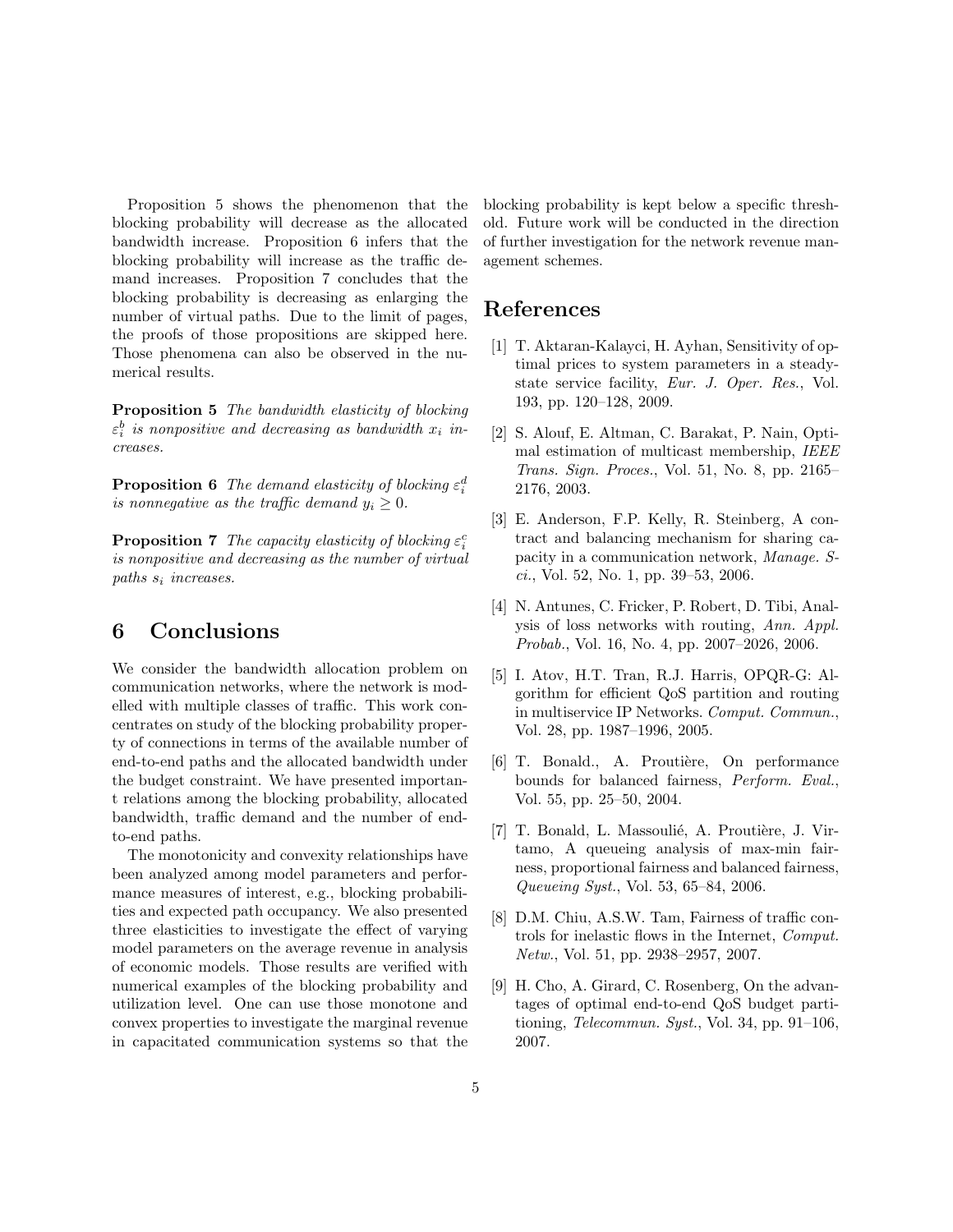Proposition 5 shows the phenomenon that the blocking probability will decrease as the allocated bandwidth increase. Proposition 6 infers that the blocking probability will increase as the traffic demand increases. Proposition 7 concludes that the blocking probability is decreasing as enlarging the number of virtual paths. Due to the limit of pages, the proofs of those propositions are skipped here. Those phenomena can also be observed in the numerical results.

Proposition 5 The bandwidth elasticity of blocking  $\varepsilon_i^b$  is nonpositive and decreasing as bandwidth  $x_i$  increases.

**Proposition 6** The demand elasticity of blocking  $\varepsilon_i^d$ is nonnegative as the traffic demand  $y_i \geq 0$ .

**Proposition 7** The capacity elasticity of blocking  $\varepsilon_i^c$ is nonpositive and decreasing as the number of virtual paths  $s_i$  increases.

### 6 Conclusions

We consider the bandwidth allocation problem on communication networks, where the network is modelled with multiple classes of traffic. This work concentrates on study of the blocking probability property of connections in terms of the available number of end-to-end paths and the allocated bandwidth under the budget constraint. We have presented important relations among the blocking probability, allocated bandwidth, traffic demand and the number of endto-end paths.

The monotonicity and convexity relationships have been analyzed among model parameters and performance measures of interest, e.g., blocking probabilities and expected path occupancy. We also presented three elasticities to investigate the effect of varying model parameters on the average revenue in analysis of economic models. Those results are verified with numerical examples of the blocking probability and utilization level. One can use those monotone and convex properties to investigate the marginal revenue in capacitated communication systems so that the blocking probability is kept below a specific threshold. Future work will be conducted in the direction of further investigation for the network revenue management schemes.

### References

- [1] T. Aktaran-Kalayci, H. Ayhan, Sensitivity of optimal prices to system parameters in a steadystate service facility, Eur. J. Oper. Res., Vol. 193, pp. 120–128, 2009.
- [2] S. Alouf, E. Altman, C. Barakat, P. Nain, Optimal estimation of multicast membership, IEEE Trans. Sign. Proces., Vol. 51, No. 8, pp. 2165– 2176, 2003.
- [3] E. Anderson, F.P. Kelly, R. Steinberg, A contract and balancing mechanism for sharing capacity in a communication network, Manage. Sci., Vol. 52, No. 1, pp. 39–53, 2006.
- [4] N. Antunes, C. Fricker, P. Robert, D. Tibi, Analysis of loss networks with routing, Ann. Appl. Probab., Vol. 16, No. 4, pp. 2007–2026, 2006.
- [5] I. Atov, H.T. Tran, R.J. Harris, OPQR-G: Algorithm for efficient QoS partition and routing in multiservice IP Networks. Comput. Commun., Vol. 28, pp. 1987–1996, 2005.
- [6] T. Bonald., A. Proutière, On performance bounds for balanced fairness, Perform. Eval., Vol. 55, pp. 25–50, 2004.
- [7] T. Bonald, L. Massoulié, A. Proutière, J. Virtamo, A queueing analysis of max-min fairness, proportional fairness and balanced fairness, Queueing Syst., Vol. 53, 65–84, 2006.
- [8] D.M. Chiu, A.S.W. Tam, Fairness of traffic controls for inelastic flows in the Internet, Comput. Netw., Vol. 51, pp. 2938–2957, 2007.
- [9] H. Cho, A. Girard, C. Rosenberg, On the advantages of optimal end-to-end QoS budget partitioning, Telecommun. Syst., Vol. 34, pp. 91–106, 2007.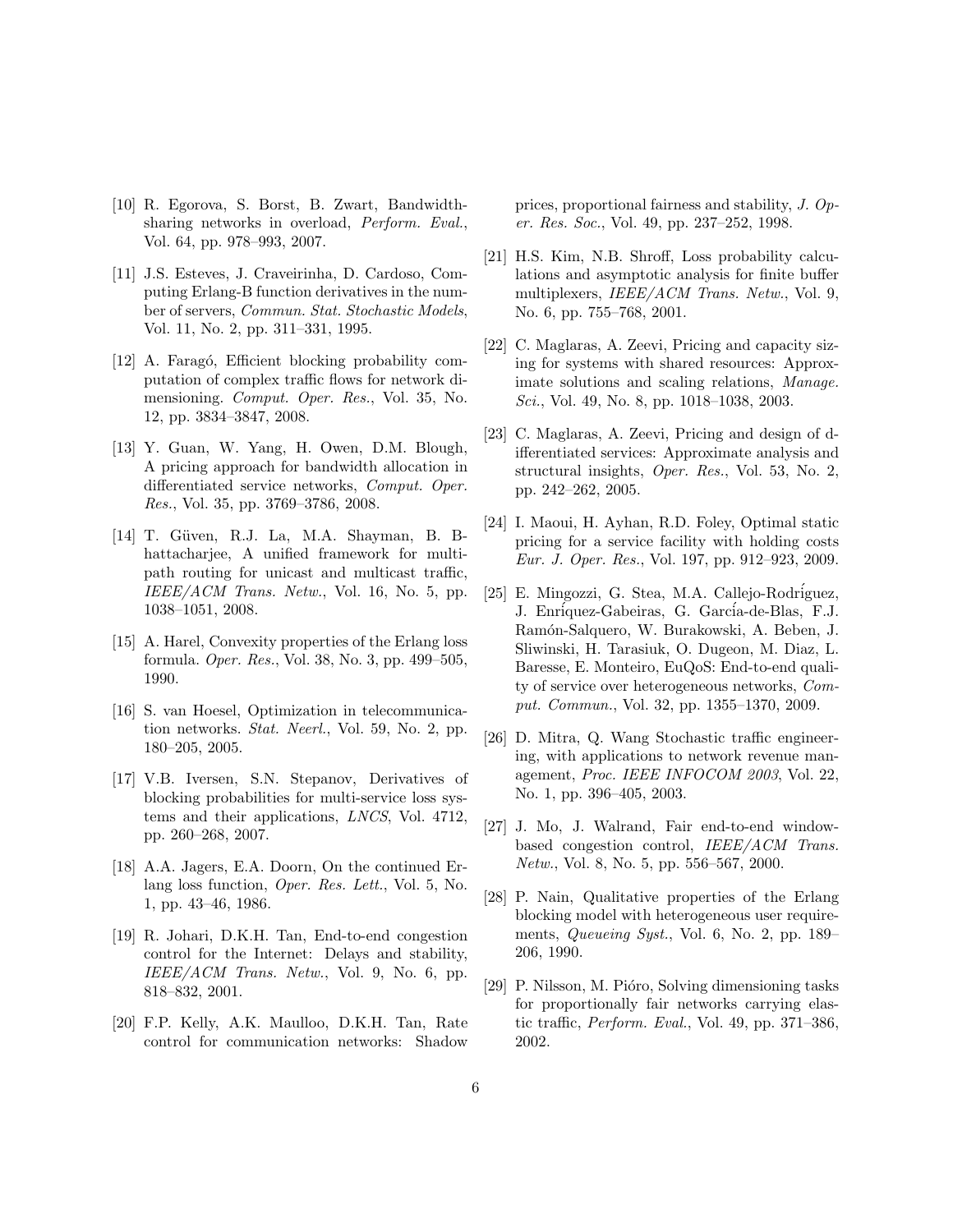- [10] R. Egorova, S. Borst, B. Zwart, Bandwidthsharing networks in overload, Perform. Eval., Vol. 64, pp. 978–993, 2007.
- [11] J.S. Esteves, J. Craveirinha, D. Cardoso, Computing Erlang-B function derivatives in the number of servers, Commun. Stat. Stochastic Models, Vol. 11, No. 2, pp. 311–331, 1995.
- [12] A. Faragó, Efficient blocking probability computation of complex traffic flows for network dimensioning. Comput. Oper. Res., Vol. 35, No. 12, pp. 3834–3847, 2008.
- [13] Y. Guan, W. Yang, H. Owen, D.M. Blough, A pricing approach for bandwidth allocation in differentiated service networks, Comput. Oper. Res., Vol. 35, pp. 3769–3786, 2008.
- [14] T. Güven, R.J. La, M.A. Shayman, B. Bhattacharjee, A unified framework for multipath routing for unicast and multicast traffic, IEEE/ACM Trans. Netw., Vol. 16, No. 5, pp. 1038–1051, 2008.
- [15] A. Harel, Convexity properties of the Erlang loss formula. Oper. Res., Vol. 38, No. 3, pp. 499–505, 1990.
- [16] S. van Hoesel, Optimization in telecommunication networks. Stat. Neerl., Vol. 59, No. 2, pp. 180–205, 2005.
- [17] V.B. Iversen, S.N. Stepanov, Derivatives of blocking probabilities for multi-service loss systems and their applications, LNCS, Vol. 4712, pp. 260–268, 2007.
- [18] A.A. Jagers, E.A. Doorn, On the continued Erlang loss function, Oper. Res. Lett., Vol. 5, No. 1, pp. 43–46, 1986.
- [19] R. Johari, D.K.H. Tan, End-to-end congestion control for the Internet: Delays and stability, IEEE/ACM Trans. Netw., Vol. 9, No. 6, pp. 818–832, 2001.
- [20] F.P. Kelly, A.K. Maulloo, D.K.H. Tan, Rate control for communication networks: Shadow

prices, proportional fairness and stability, J. Oper. Res. Soc., Vol. 49, pp. 237–252, 1998.

- [21] H.S. Kim, N.B. Shroff, Loss probability calculations and asymptotic analysis for finite buffer multiplexers, IEEE/ACM Trans. Netw., Vol. 9, No. 6, pp. 755–768, 2001.
- [22] C. Maglaras, A. Zeevi, Pricing and capacity sizing for systems with shared resources: Approximate solutions and scaling relations, Manage. Sci., Vol. 49, No. 8, pp. 1018–1038, 2003.
- [23] C. Maglaras, A. Zeevi, Pricing and design of differentiated services: Approximate analysis and structural insights, Oper. Res., Vol. 53, No. 2, pp. 242–262, 2005.
- [24] I. Maoui, H. Ayhan, R.D. Foley, Optimal static pricing for a service facility with holding costs Eur. J. Oper. Res., Vol. 197, pp. 912–923, 2009.
- [25] E. Mingozzi, G. Stea, M.A. Callejo-Rodriguez, J. Enríquez-Gabeiras, G. García-de-Blas, F.J. Ram´on-Salquero, W. Burakowski, A. Beben, J. Sliwinski, H. Tarasiuk, O. Dugeon, M. Diaz, L. Baresse, E. Monteiro, EuQoS: End-to-end quality of service over heterogeneous networks, Comput. Commun., Vol. 32, pp. 1355–1370, 2009.
- [26] D. Mitra, Q. Wang Stochastic traffic engineering, with applications to network revenue management, Proc. IEEE INFOCOM 2003, Vol. 22, No. 1, pp. 396–405, 2003.
- [27] J. Mo, J. Walrand, Fair end-to-end windowbased congestion control, IEEE/ACM Trans. Netw., Vol. 8, No. 5, pp. 556–567, 2000.
- [28] P. Nain, Qualitative properties of the Erlang blocking model with heterogeneous user requirements, Queueing Syst., Vol. 6, No. 2, pp. 189– 206, 1990.
- [29] P. Nilsson, M. Pióro, Solving dimensioning tasks for proportionally fair networks carrying elastic traffic, Perform. Eval., Vol. 49, pp. 371–386, 2002.